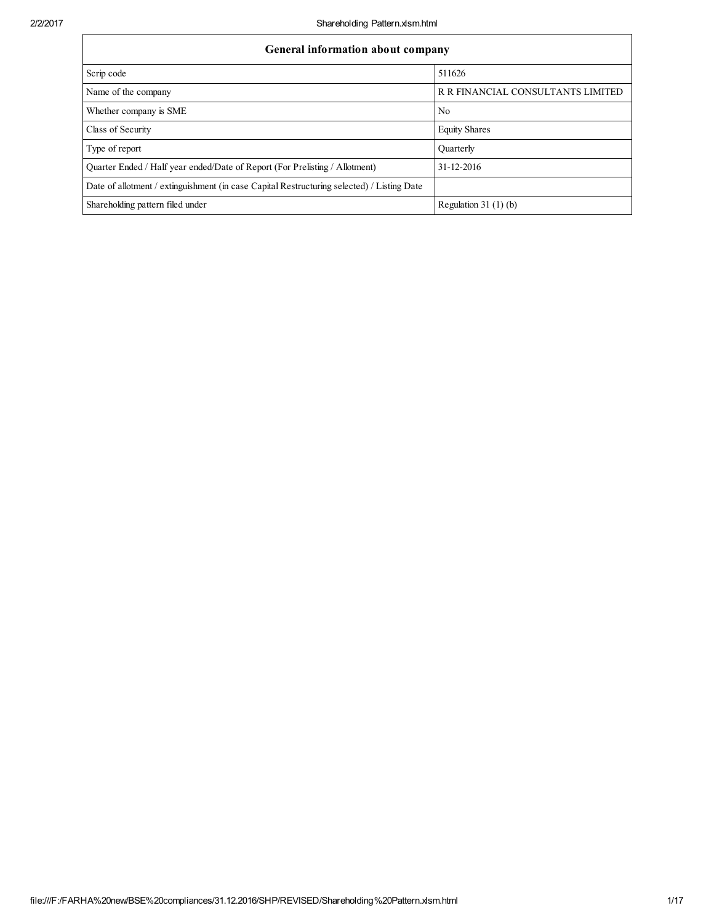┑

| General information about company                                                          |                                   |  |  |  |  |  |
|--------------------------------------------------------------------------------------------|-----------------------------------|--|--|--|--|--|
| Scrip code                                                                                 | 511626                            |  |  |  |  |  |
| Name of the company                                                                        | R R FINANCIAL CONSULTANTS LIMITED |  |  |  |  |  |
| Whether company is SME                                                                     | No                                |  |  |  |  |  |
| Class of Security                                                                          | <b>Equity Shares</b>              |  |  |  |  |  |
| Type of report                                                                             | Ouarterly                         |  |  |  |  |  |
| Ouarter Ended / Half year ended/Date of Report (For Prelisting / Allotment)                | 31-12-2016                        |  |  |  |  |  |
| Date of allotment / extinguishment (in case Capital Restructuring selected) / Listing Date |                                   |  |  |  |  |  |
| Shareholding pattern filed under                                                           | Regulation 31 $(1)$ $(b)$         |  |  |  |  |  |

г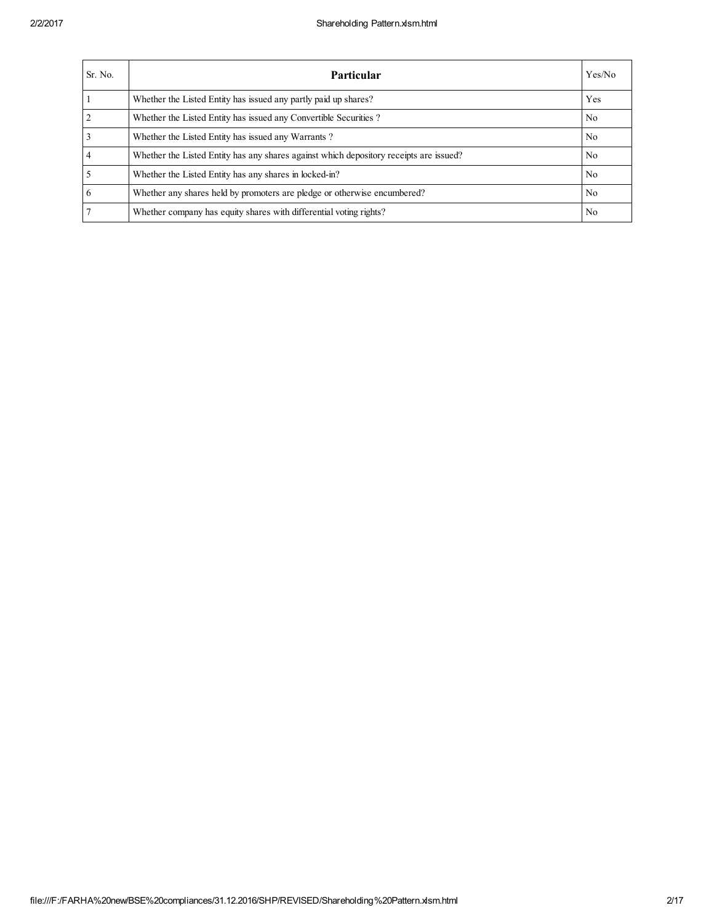| Sr. No.        | Particular                                                                             | Yes/No         |
|----------------|----------------------------------------------------------------------------------------|----------------|
|                | Whether the Listed Entity has issued any partly paid up shares?                        | Yes            |
|                | Whether the Listed Entity has issued any Convertible Securities?                       | N <sub>0</sub> |
|                | Whether the Listed Entity has issued any Warrants?                                     | N <sub>0</sub> |
| $\overline{4}$ | Whether the Listed Entity has any shares against which depository receipts are issued? | N <sub>0</sub> |
|                | Whether the Listed Entity has any shares in locked-in?                                 | N <sub>0</sub> |
| 6              | Whether any shares held by promoters are pledge or otherwise encumbered?               | N <sub>0</sub> |
|                | Whether company has equity shares with differential voting rights?                     | N <sub>0</sub> |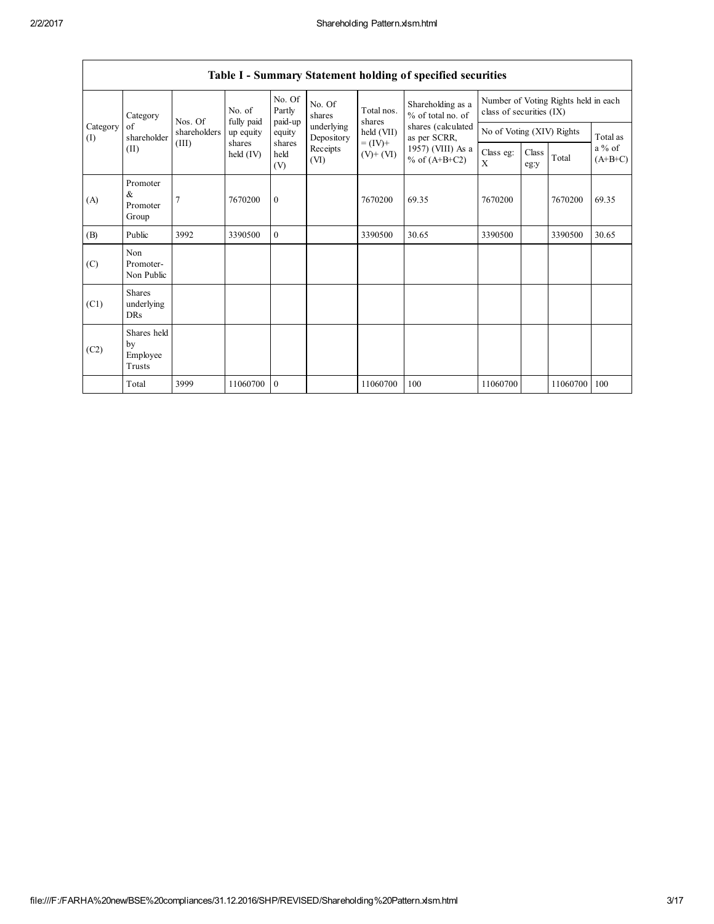|                 | Table I - Summary Statement holding of specified securities |              |                       |                                                                       |                                      |                      |                                        |                                                                  |                       |          |          |
|-----------------|-------------------------------------------------------------|--------------|-----------------------|-----------------------------------------------------------------------|--------------------------------------|----------------------|----------------------------------------|------------------------------------------------------------------|-----------------------|----------|----------|
|                 | Category                                                    | Nos. Of      | No. of<br>fully paid  | No. Of<br>Partly<br>paid-up                                           | No. Of<br>shares                     | Total nos.<br>shares | Shareholding as a<br>% of total no. of | Number of Voting Rights held in each<br>class of securities (IX) |                       |          |          |
| Category<br>(I) | of<br>shareholder                                           | shareholders | up equity             | equity                                                                | underlying<br>Depository             | held $(VII)$         | shares (calculated<br>as per SCRR,     | No of Voting (XIV) Rights                                        |                       |          | Total as |
|                 | (II)                                                        | (III)        | shares<br>held $(IV)$ | shares<br>$= (IV) +$<br>Receipts<br>held<br>$(V)+(VI)$<br>(VI)<br>(V) | 1957) (VIII) As a<br>$%$ of (A+B+C2) | Class eg:<br>X       | Class<br>eg:y                          | Total                                                            | $a\%$ of<br>$(A+B+C)$ |          |          |
| (A)             | Promoter<br>&<br>Promoter<br>Group                          | 7            | 7670200               | $\mathbf{0}$                                                          |                                      | 7670200              | 69.35                                  | 7670200                                                          |                       | 7670200  | 69.35    |
| (B)             | Public                                                      | 3992         | 3390500               | $\theta$                                                              |                                      | 3390500              | 30.65                                  | 3390500                                                          |                       | 3390500  | 30.65    |
| (C)             | Non<br>Promoter-<br>Non Public                              |              |                       |                                                                       |                                      |                      |                                        |                                                                  |                       |          |          |
| (C1)            | <b>Shares</b><br>underlying<br><b>DRs</b>                   |              |                       |                                                                       |                                      |                      |                                        |                                                                  |                       |          |          |
| (C2)            | Shares held<br>by<br>Employee<br>Trusts                     |              |                       |                                                                       |                                      |                      |                                        |                                                                  |                       |          |          |
|                 | Total                                                       | 3999         | 11060700              | $\mathbf{0}$                                                          |                                      | 11060700             | 100                                    | 11060700                                                         |                       | 11060700 | 100      |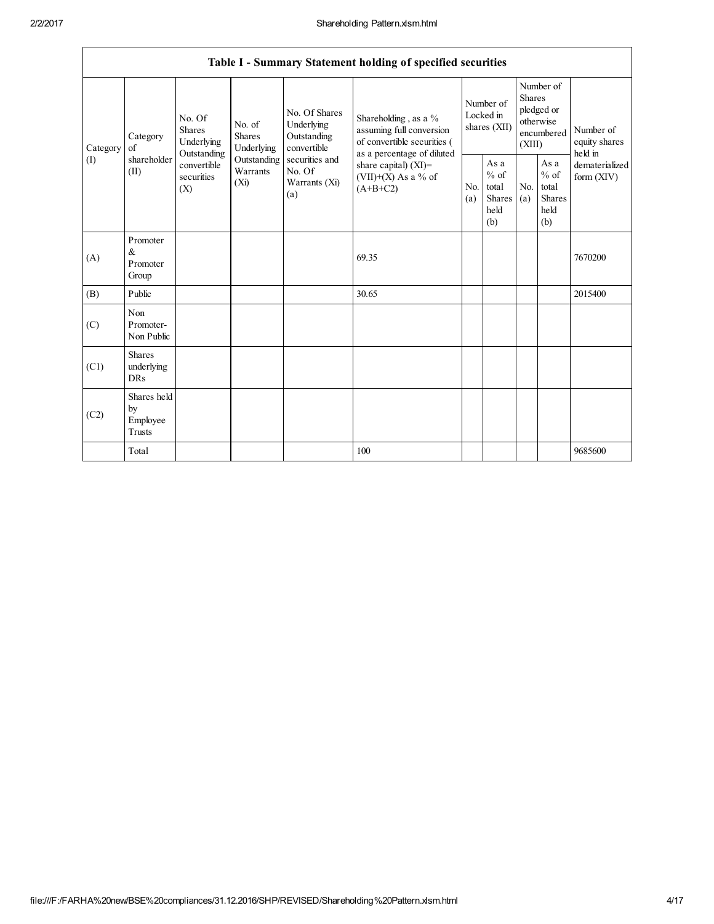| Category<br>$\sigma$ f<br>Category | No. Of<br>No. of<br><b>Shares</b><br><b>Shares</b><br>Underlying<br>Underlying<br>Outstanding<br>shareholder<br>Outstanding | No. Of Shares<br>Underlying<br>Outstanding<br>convertible<br>securities and | Shareholding, as a %<br>assuming full conversion<br>of convertible securities (<br>as a percentage of diluted | Number of<br>Locked in<br>shares (XII) |                                                           | Number of<br><b>Shares</b><br>pledged or<br>otherwise<br>encumbered<br>(XIII) |                                                         | Number of<br>equity shares<br>held in |                                                  |                                |
|------------------------------------|-----------------------------------------------------------------------------------------------------------------------------|-----------------------------------------------------------------------------|---------------------------------------------------------------------------------------------------------------|----------------------------------------|-----------------------------------------------------------|-------------------------------------------------------------------------------|---------------------------------------------------------|---------------------------------------|--------------------------------------------------|--------------------------------|
| (I)                                | (II)                                                                                                                        | convertible<br>securities<br>(X)                                            | Warrants<br>(Xi)                                                                                              | No. Of<br>Warrants (Xi)<br>(a)         | share capital) (XI)=<br>(VII)+(X) As a % of<br>$(A+B+C2)$ | N <sub>0</sub><br>(a)                                                         | As a<br>$%$ of<br>total<br><b>Shares</b><br>held<br>(b) | No.<br>(a)                            | As a<br>$%$ of<br>total<br>Shares<br>held<br>(b) | dematerialized<br>form $(XIV)$ |
| (A)                                | Promoter<br>$\&$<br>Promoter<br>Group                                                                                       |                                                                             |                                                                                                               |                                        | 69.35                                                     |                                                                               |                                                         |                                       |                                                  | 7670200                        |
| (B)                                | Public                                                                                                                      |                                                                             |                                                                                                               |                                        | 30.65                                                     |                                                                               |                                                         |                                       |                                                  | 2015400                        |
| (C)                                | Non<br>Promoter-<br>Non Public                                                                                              |                                                                             |                                                                                                               |                                        |                                                           |                                                                               |                                                         |                                       |                                                  |                                |
| (C1)                               | <b>Shares</b><br>underlying<br>DRs                                                                                          |                                                                             |                                                                                                               |                                        |                                                           |                                                                               |                                                         |                                       |                                                  |                                |
| (C2)                               | Shares held<br>by<br>Employee<br>Trusts                                                                                     |                                                                             |                                                                                                               |                                        |                                                           |                                                                               |                                                         |                                       |                                                  |                                |
|                                    | Total                                                                                                                       |                                                                             |                                                                                                               |                                        | 100                                                       |                                                                               |                                                         |                                       |                                                  | 9685600                        |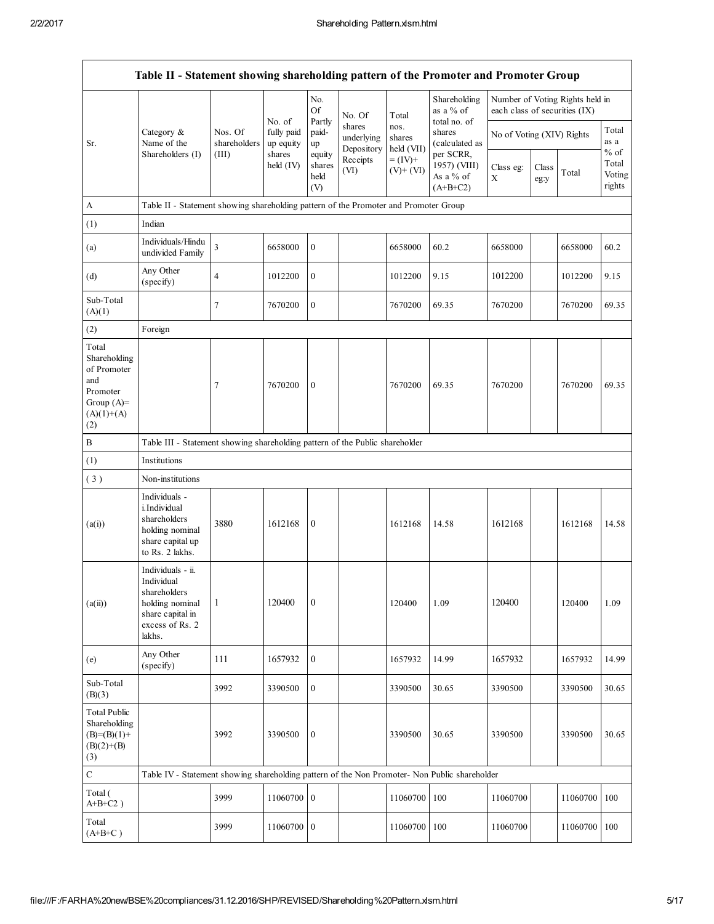|                                                                                                | Table II - Statement showing shareholding pattern of the Promoter and Promoter Group                                |                         |                                   |                                 |                                    |                              |                                                      |                               |               |                                 |                                     |
|------------------------------------------------------------------------------------------------|---------------------------------------------------------------------------------------------------------------------|-------------------------|-----------------------------------|---------------------------------|------------------------------------|------------------------------|------------------------------------------------------|-------------------------------|---------------|---------------------------------|-------------------------------------|
|                                                                                                |                                                                                                                     |                         |                                   | No.<br><b>Of</b>                | No. Of                             | Total                        | Shareholding<br>as a $%$ of                          | each class of securities (IX) |               | Number of Voting Rights held in |                                     |
| Sr.                                                                                            | Category $\&$<br>Name of the                                                                                        | Nos. Of<br>shareholders | No. of<br>fully paid<br>up equity | Partly<br>paid-<br>up           | shares<br>underlying<br>Depository | nos.<br>shares<br>held (VII) | total no. of<br>shares<br>(calculated as             | No of Voting (XIV) Rights     |               |                                 | Total<br>as a                       |
|                                                                                                | Shareholders (I)                                                                                                    | (III)                   | shares<br>held (IV)               | equity<br>shares<br>held<br>(V) | Receipts<br>(VI)                   | $= (IV) +$<br>$(V)+(VI)$     | per SCRR,<br>1957) (VIII)<br>As a % of<br>$(A+B+C2)$ | Class eg:<br>Χ                | Class<br>eg:y | Total                           | $%$ of<br>Total<br>Voting<br>rights |
| A                                                                                              | Table II - Statement showing shareholding pattern of the Promoter and Promoter Group                                |                         |                                   |                                 |                                    |                              |                                                      |                               |               |                                 |                                     |
| (1)                                                                                            | Indian                                                                                                              |                         |                                   |                                 |                                    |                              |                                                      |                               |               |                                 |                                     |
| (a)                                                                                            | Individuals/Hindu<br>undivided Family                                                                               | $\overline{3}$          | 6658000                           | $\mathbf{0}$                    |                                    | 6658000                      | 60.2                                                 | 6658000                       |               | 6658000                         | 60.2                                |
| (d)                                                                                            | Any Other<br>(specify)                                                                                              | $\overline{4}$          | 1012200                           | $\boldsymbol{0}$                |                                    | 1012200                      | 9.15                                                 | 1012200                       |               | 1012200                         | 9.15                                |
| Sub-Total<br>(A)(1)                                                                            |                                                                                                                     | 7                       | 7670200                           | $\mathbf{0}$                    |                                    | 7670200                      | 69.35                                                | 7670200                       |               | 7670200                         | 69.35                               |
| (2)                                                                                            | Foreign                                                                                                             |                         |                                   |                                 |                                    |                              |                                                      |                               |               |                                 |                                     |
| Total<br>Shareholding<br>of Promoter<br>and<br>Promoter<br>Group $(A)=$<br>$(A)(1)+(A)$<br>(2) |                                                                                                                     | 7                       | 7670200                           | $\mathbf{0}$                    |                                    | 7670200                      | 69.35                                                | 7670200                       |               | 7670200                         | 69.35                               |
| $\, {\bf B}$                                                                                   | Table III - Statement showing shareholding pattern of the Public shareholder                                        |                         |                                   |                                 |                                    |                              |                                                      |                               |               |                                 |                                     |
| (1)                                                                                            | Institutions                                                                                                        |                         |                                   |                                 |                                    |                              |                                                      |                               |               |                                 |                                     |
| (3)                                                                                            | Non-institutions                                                                                                    |                         |                                   |                                 |                                    |                              |                                                      |                               |               |                                 |                                     |
| (a(i))                                                                                         | Individuals -<br>i.Individual<br>shareholders<br>holding nominal<br>share capital up<br>to Rs. 2 lakhs.             | 3880                    | 1612168                           | $\boldsymbol{0}$                |                                    | 1612168                      | 14.58                                                | 1612168                       |               | 1612168                         | 14.58                               |
| (a(ii))                                                                                        | Individuals - ii.<br>Individual<br>shareholders<br>holding nominal<br>share capital in<br>excess of Rs. 2<br>lakhs. | $\mathbf{1}$            | 120400                            | $\mathbf{0}$                    |                                    | 120400                       | 1.09                                                 | 120400                        |               | 120400                          | 1.09                                |
| (e)                                                                                            | Any Other<br>(specify)                                                                                              | 111                     | 1657932                           | $\mathbf{0}$                    |                                    | 1657932                      | 14.99                                                | 1657932                       |               | 1657932                         | 14.99                               |
| Sub-Total<br>(B)(3)                                                                            |                                                                                                                     | 3992                    | 3390500                           | $\boldsymbol{0}$                |                                    | 3390500                      | 30.65                                                | 3390500                       |               | 3390500                         | 30.65                               |
| <b>Total Public</b><br>Shareholding<br>$(B)=(B)(1)+$<br>$(B)(2)+(B)$<br>(3)                    |                                                                                                                     | 3992                    | 3390500                           | $\boldsymbol{0}$                |                                    | 3390500                      | 30.65                                                | 3390500                       |               | 3390500                         | 30.65                               |
| $\mathbf C$                                                                                    | Table IV - Statement showing shareholding pattern of the Non Promoter- Non Public shareholder                       |                         |                                   |                                 |                                    |                              |                                                      |                               |               |                                 |                                     |
| Total (<br>$A+B+C2$ )                                                                          |                                                                                                                     | 3999                    | 11060700 0                        |                                 |                                    | 11060700                     | 100                                                  | 11060700                      |               | 11060700                        | 100                                 |
| Total<br>$(A+B+C)$                                                                             |                                                                                                                     | 3999                    | 11060700                          | $\overline{0}$                  |                                    | 11060700                     | 100                                                  | 11060700                      |               | 11060700                        | 100                                 |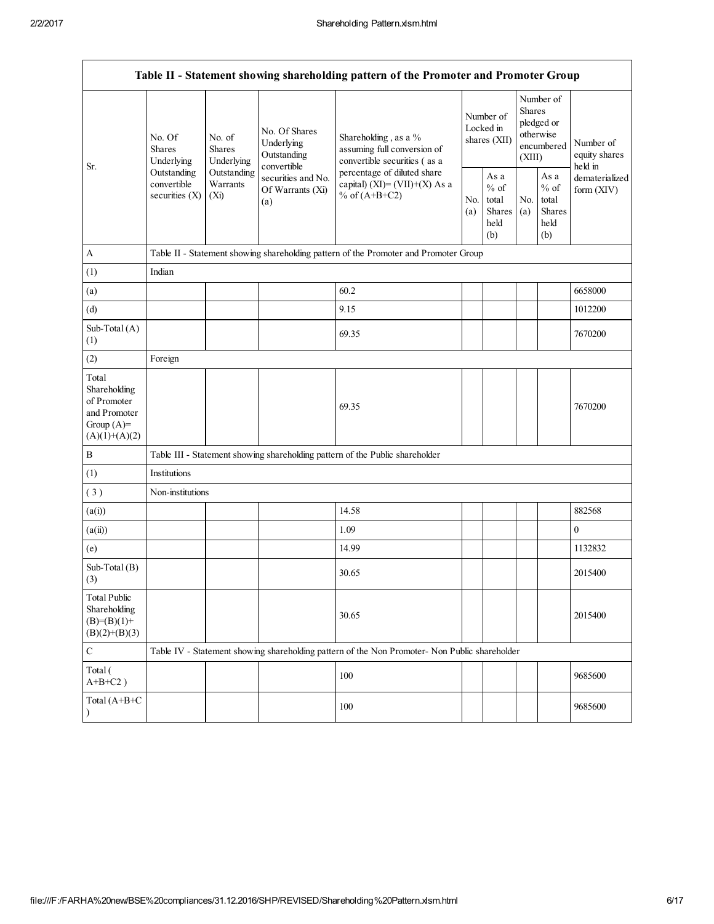|                                                                                         |                                                                                    |                                                                                                    |                                               | Table II - Statement showing shareholding pattern of the Promoter and Promoter Group          |                                        |                                                  |                                                                        |                                                  |                                                                         |
|-----------------------------------------------------------------------------------------|------------------------------------------------------------------------------------|----------------------------------------------------------------------------------------------------|-----------------------------------------------|-----------------------------------------------------------------------------------------------|----------------------------------------|--------------------------------------------------|------------------------------------------------------------------------|--------------------------------------------------|-------------------------------------------------------------------------|
| Sr.                                                                                     | No. Of<br>Shares<br>Underlying                                                     | No. Of Shares<br>No. of<br>Underlying<br><b>Shares</b><br>Outstanding<br>Underlying<br>convertible |                                               | Shareholding, as a %<br>assuming full conversion of<br>convertible securities (as a           | Number of<br>Locked in<br>shares (XII) |                                                  | Number of<br>Shares<br>pledged or<br>otherwise<br>encumbered<br>(XIII) |                                                  | Number of<br>equity shares<br>held in<br>dematerialized<br>form $(XIV)$ |
|                                                                                         | Outstanding<br>Outstanding<br>convertible<br>Warrants<br>securities (X)<br>$(X_i)$ |                                                                                                    | securities and No.<br>Of Warrants (Xi)<br>(a) | percentage of diluted share<br>capital) (XI)= $(VII)+(X)$ As a<br>% of $(A+B+C2)$             |                                        | As a<br>$%$ of<br>total<br>Shares<br>held<br>(b) | No.<br>(a)                                                             | As a<br>$%$ of<br>total<br>Shares<br>held<br>(b) |                                                                         |
| $\mathbf{A}$                                                                            |                                                                                    |                                                                                                    |                                               | Table II - Statement showing shareholding pattern of the Promoter and Promoter Group          |                                        |                                                  |                                                                        |                                                  |                                                                         |
| (1)                                                                                     | Indian                                                                             |                                                                                                    |                                               |                                                                                               |                                        |                                                  |                                                                        |                                                  |                                                                         |
| (a)                                                                                     |                                                                                    |                                                                                                    |                                               | 60.2                                                                                          |                                        |                                                  |                                                                        |                                                  | 6658000                                                                 |
| (d)                                                                                     |                                                                                    |                                                                                                    |                                               | 9.15                                                                                          |                                        |                                                  |                                                                        |                                                  | 1012200                                                                 |
| Sub-Total $(A)$<br>(1)                                                                  |                                                                                    |                                                                                                    |                                               | 69.35                                                                                         |                                        |                                                  |                                                                        |                                                  | 7670200                                                                 |
| (2)                                                                                     | Foreign                                                                            |                                                                                                    |                                               |                                                                                               |                                        |                                                  |                                                                        |                                                  |                                                                         |
| Total<br>Shareholding<br>of Promoter<br>and Promoter<br>Group $(A)=$<br>$(A)(1)+(A)(2)$ |                                                                                    |                                                                                                    |                                               | 69.35                                                                                         |                                        |                                                  |                                                                        |                                                  | 7670200                                                                 |
| $\boldsymbol{B}$                                                                        |                                                                                    |                                                                                                    |                                               | Table III - Statement showing shareholding pattern of the Public shareholder                  |                                        |                                                  |                                                                        |                                                  |                                                                         |
| (1)                                                                                     | Institutions                                                                       |                                                                                                    |                                               |                                                                                               |                                        |                                                  |                                                                        |                                                  |                                                                         |
| (3)                                                                                     | Non-institutions                                                                   |                                                                                                    |                                               |                                                                                               |                                        |                                                  |                                                                        |                                                  |                                                                         |
| (a(i))                                                                                  |                                                                                    |                                                                                                    |                                               | 14.58                                                                                         |                                        |                                                  |                                                                        |                                                  | 882568                                                                  |
| (a(ii))                                                                                 |                                                                                    |                                                                                                    |                                               | 1.09                                                                                          |                                        |                                                  |                                                                        |                                                  | $\mathbf{0}$                                                            |
| (e)                                                                                     |                                                                                    |                                                                                                    |                                               | 14.99                                                                                         |                                        |                                                  |                                                                        |                                                  | 1132832                                                                 |
| Sub-Total $(B)$<br>(3)                                                                  |                                                                                    |                                                                                                    |                                               | 30.65                                                                                         |                                        |                                                  |                                                                        |                                                  | 2015400                                                                 |
| <b>Total Public</b><br>Shareholding<br>$(B)= (B)(1) +$<br>$(B)(2)+(B)(3)$               |                                                                                    |                                                                                                    |                                               | 30.65                                                                                         |                                        |                                                  |                                                                        |                                                  | 2015400                                                                 |
| $\mathbf C$                                                                             |                                                                                    |                                                                                                    |                                               | Table IV - Statement showing shareholding pattern of the Non Promoter- Non Public shareholder |                                        |                                                  |                                                                        |                                                  |                                                                         |
| Total (<br>$A+B+C2$ )                                                                   |                                                                                    |                                                                                                    |                                               | 100                                                                                           |                                        |                                                  |                                                                        |                                                  | 9685600                                                                 |
| Total (A+B+C<br>$\lambda$                                                               |                                                                                    |                                                                                                    |                                               | 100                                                                                           |                                        |                                                  |                                                                        |                                                  | 9685600                                                                 |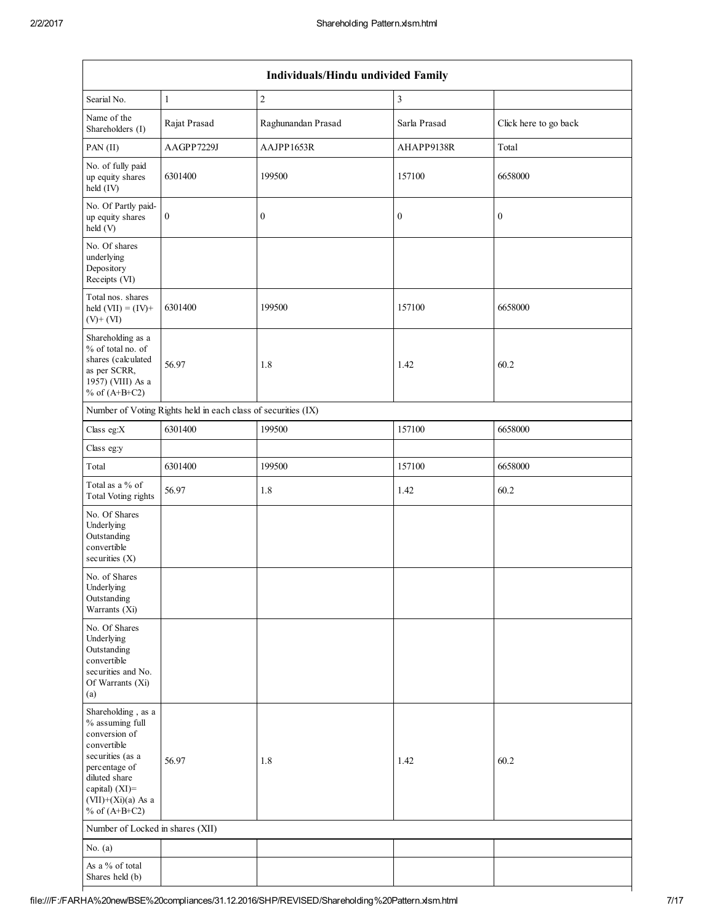|                                                                                                                                                                                             |                  | Individuals/Hindu undivided Family |                             |                       |  |  |  |
|---------------------------------------------------------------------------------------------------------------------------------------------------------------------------------------------|------------------|------------------------------------|-----------------------------|-----------------------|--|--|--|
| Searial No.                                                                                                                                                                                 | 1                | $\boldsymbol{2}$                   | $\ensuremath{\mathfrak{Z}}$ |                       |  |  |  |
| Name of the<br>Shareholders (I)                                                                                                                                                             | Rajat Prasad     | Raghunandan Prasad                 | Sarla Prasad                | Click here to go back |  |  |  |
| PAN (II)                                                                                                                                                                                    | AAGPP7229J       | AAJPP1653R                         | AHAPP9138R                  | Total                 |  |  |  |
| No. of fully paid<br>up equity shares<br>held (IV)                                                                                                                                          | 6301400          | 199500                             | 157100                      | 6658000               |  |  |  |
| No. Of Partly paid-<br>up equity shares<br>held (V)                                                                                                                                         | $\boldsymbol{0}$ | $\boldsymbol{0}$                   | $\boldsymbol{0}$            | $\boldsymbol{0}$      |  |  |  |
| No. Of shares<br>underlying<br>Depository<br>Receipts (VI)                                                                                                                                  |                  |                                    |                             |                       |  |  |  |
| Total nos. shares<br>held $(VII) = (IV) +$<br>$(V)$ + $(VI)$                                                                                                                                | 6301400          | 199500                             | 157100                      | 6658000               |  |  |  |
| Shareholding as a<br>% of total no. of<br>shares (calculated<br>as per SCRR,<br>1957) (VIII) As a<br>% of $(A+B+C2)$                                                                        | 56.97            | 1.8                                | 1.42                        | 60.2                  |  |  |  |
| Number of Voting Rights held in each class of securities (IX)                                                                                                                               |                  |                                    |                             |                       |  |  |  |
| Class eg: $X$                                                                                                                                                                               | 6301400          | 199500                             | 157100                      | 6658000               |  |  |  |
| Class eg:y                                                                                                                                                                                  |                  |                                    |                             |                       |  |  |  |
| Total                                                                                                                                                                                       | 6301400          | 199500                             | 157100                      | 6658000               |  |  |  |
| Total as a % of<br>Total Voting rights                                                                                                                                                      | 56.97            | 1.8                                | 1.42                        | 60.2                  |  |  |  |
| No. Of Shares<br>Underlying<br>Outstanding<br>convertible<br>securities $(X)$                                                                                                               |                  |                                    |                             |                       |  |  |  |
| No. of Shares<br>Underlying<br>Outstanding<br>Warrants (Xi)                                                                                                                                 |                  |                                    |                             |                       |  |  |  |
| No. Of Shares<br>Underlying<br>Outstanding<br>convertible<br>securities and No.<br>Of Warrants (Xi)<br>(a)                                                                                  |                  |                                    |                             |                       |  |  |  |
| Shareholding, as a<br>% assuming full<br>conversion of<br>convertible<br>securities (as a<br>percentage of<br>diluted share<br>capital) $(XI)$ =<br>$(VII)+(Xi)(a)$ As a<br>% of $(A+B+C2)$ | 56.97            | 1.8                                | 1.42                        | 60.2                  |  |  |  |
| Number of Locked in shares (XII)                                                                                                                                                            |                  |                                    |                             |                       |  |  |  |
| No. $(a)$                                                                                                                                                                                   |                  |                                    |                             |                       |  |  |  |
| As a % of total                                                                                                                                                                             |                  |                                    |                             |                       |  |  |  |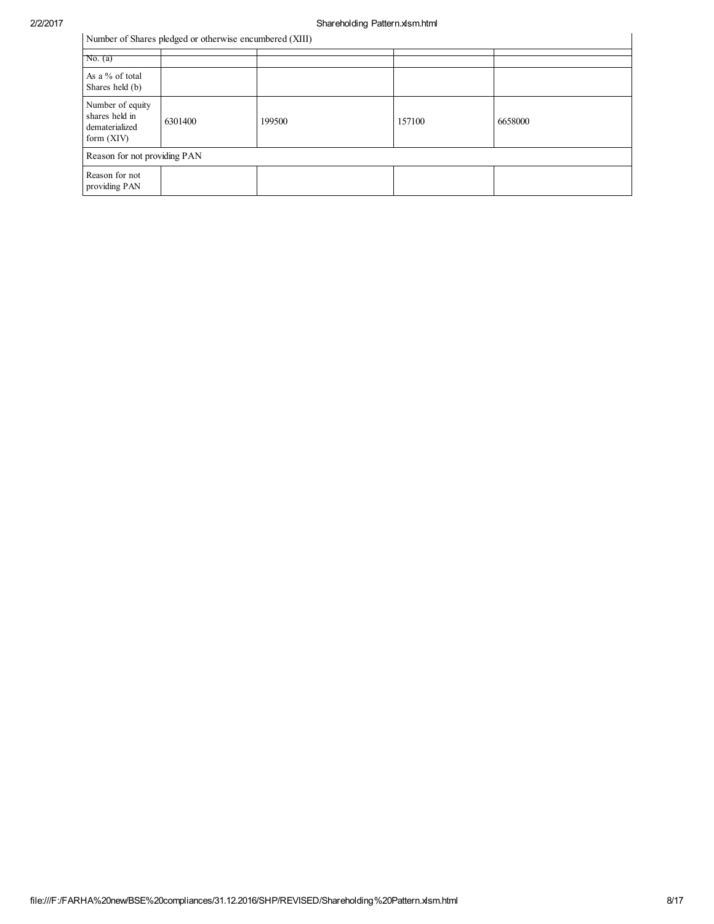|                                                                      | Number of Shares pledged or otherwise encumbered (XIII) |        |        |         |
|----------------------------------------------------------------------|---------------------------------------------------------|--------|--------|---------|
| No. $(a)$                                                            |                                                         |        |        |         |
| As a % of total<br>Shares held (b)                                   |                                                         |        |        |         |
| Number of equity<br>shares held in<br>dematerialized<br>form $(XIV)$ | 6301400                                                 | 199500 | 157100 | 6658000 |
| Reason for not providing PAN                                         |                                                         |        |        |         |
| Reason for not<br>providing PAN                                      |                                                         |        |        |         |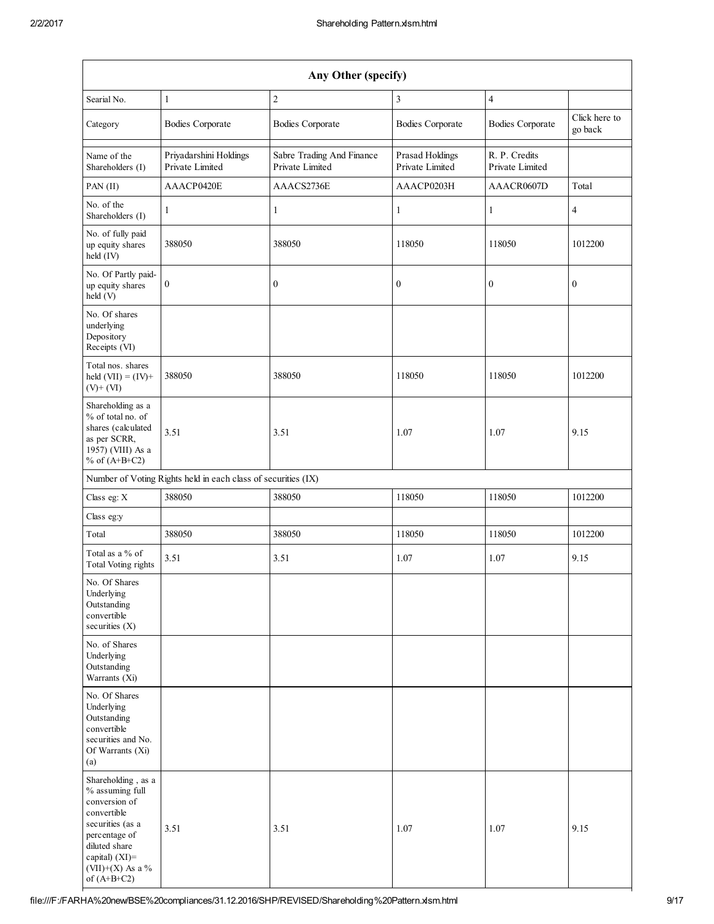|                                                                                                                                                                     |                                                               | Any Other (specify)                          |                                    |                                  |                          |
|---------------------------------------------------------------------------------------------------------------------------------------------------------------------|---------------------------------------------------------------|----------------------------------------------|------------------------------------|----------------------------------|--------------------------|
| Searial No.                                                                                                                                                         | $\mathbf{1}$                                                  | $\overline{c}$                               | $\overline{\mathbf{3}}$            | $\overline{4}$                   |                          |
| Category                                                                                                                                                            | <b>Bodies Corporate</b>                                       | <b>Bodies Corporate</b>                      | <b>Bodies Corporate</b>            | <b>Bodies Corporate</b>          | Click here to<br>go back |
| Name of the<br>Shareholders (I)                                                                                                                                     | Priyadarshini Holdings<br>Private Limited                     | Sabre Trading And Finance<br>Private Limited | Prasad Holdings<br>Private Limited | R. P. Credits<br>Private Limited |                          |
| PAN (II)                                                                                                                                                            | AAACP0420E                                                    | AAACS2736E                                   | AAACP0203H                         | AAACR0607D                       | Total                    |
| No. of the<br>Shareholders (I)                                                                                                                                      | 1                                                             | $\mathbf{1}$                                 | $\mathbf{1}$                       | $\mathbf{1}$                     | $\overline{4}$           |
| No. of fully paid<br>up equity shares<br>held (IV)                                                                                                                  | 388050                                                        | 388050                                       | 118050                             | 118050                           | 1012200                  |
| No. Of Partly paid-<br>up equity shares<br>held (V)                                                                                                                 | $\boldsymbol{0}$                                              | $\boldsymbol{0}$                             | $\boldsymbol{0}$                   | $\boldsymbol{0}$                 | $\boldsymbol{0}$         |
| No. Of shares<br>underlying<br>Depository<br>Receipts (VI)                                                                                                          |                                                               |                                              |                                    |                                  |                          |
| Total nos. shares<br>held $(VII) = (IV) +$<br>$(V)+(VI)$                                                                                                            | 388050                                                        | 388050                                       | 118050                             | 118050                           | 1012200                  |
| Shareholding as a<br>% of total no. of<br>shares (calculated<br>as per SCRR,<br>1957) (VIII) As a<br>% of $(A+B+C2)$                                                | 3.51                                                          | 3.51                                         | 1.07                               | 1.07                             | 9.15                     |
|                                                                                                                                                                     | Number of Voting Rights held in each class of securities (IX) |                                              |                                    |                                  |                          |
| Class eg: X                                                                                                                                                         | 388050                                                        | 388050                                       | 118050                             | 118050                           | 1012200                  |
| Class eg:y                                                                                                                                                          |                                                               |                                              |                                    |                                  |                          |
| Total                                                                                                                                                               | 388050                                                        | 388050                                       | 118050                             | 118050                           | 1012200                  |
| Total as a % of<br>Total Voting rights                                                                                                                              | 3.51                                                          | 3.51                                         | 1.07                               | 1.07                             | 9.15                     |
| No. Of Shares<br>Underlying<br>Outstanding<br>convertible<br>securities (X)                                                                                         |                                                               |                                              |                                    |                                  |                          |
| No. of Shares<br>Underlying<br>Outstanding<br>Warrants (Xi)                                                                                                         |                                                               |                                              |                                    |                                  |                          |
| No. Of Shares<br>Underlying<br>Outstanding<br>convertible<br>securities and No.<br>Of Warrants (Xi)<br>(a)                                                          |                                                               |                                              |                                    |                                  |                          |
| Shareholding, as a<br>% assuming full<br>conversion of<br>convertible<br>securities (as a<br>percentage of<br>diluted share<br>capital) (XI)=<br>$(VII)+(X)$ As a % | 3.51                                                          | 3.51                                         | 1.07                               | 1.07                             | 9.15                     |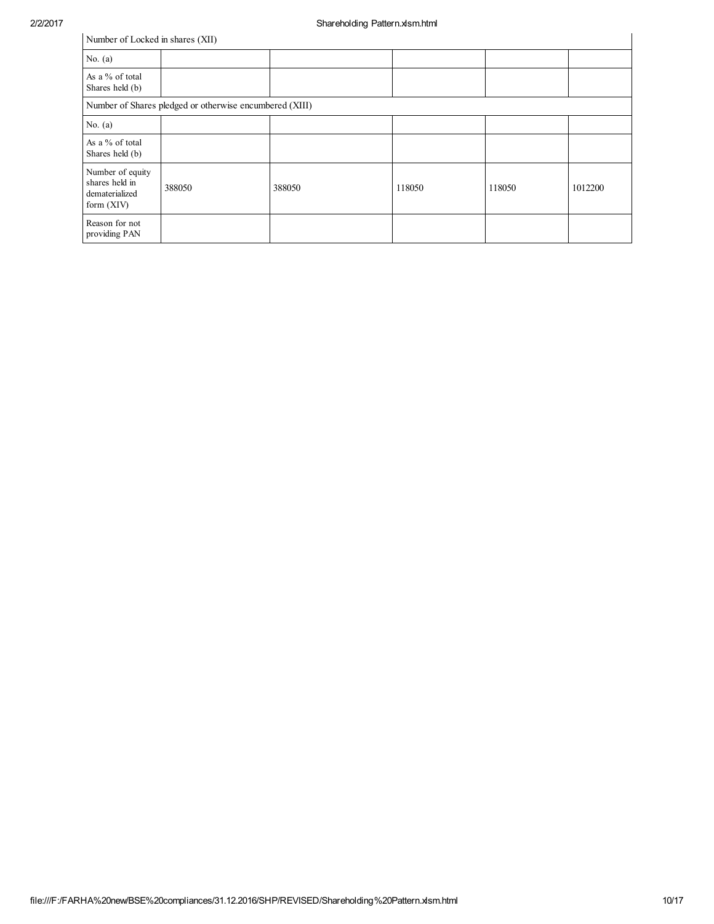## Number of Locked in shares (XII)

|                                                                      | Number of Locked in shares (XII)                        |        |        |        |         |  |  |
|----------------------------------------------------------------------|---------------------------------------------------------|--------|--------|--------|---------|--|--|
| No. $(a)$                                                            |                                                         |        |        |        |         |  |  |
| As a % of total<br>Shares held (b)                                   |                                                         |        |        |        |         |  |  |
|                                                                      | Number of Shares pledged or otherwise encumbered (XIII) |        |        |        |         |  |  |
| No. $(a)$                                                            |                                                         |        |        |        |         |  |  |
| As a % of total<br>Shares held (b)                                   |                                                         |        |        |        |         |  |  |
| Number of equity<br>shares held in<br>dematerialized<br>form $(XIV)$ | 388050                                                  | 388050 | 118050 | 118050 | 1012200 |  |  |
| Reason for not<br>providing PAN                                      |                                                         |        |        |        |         |  |  |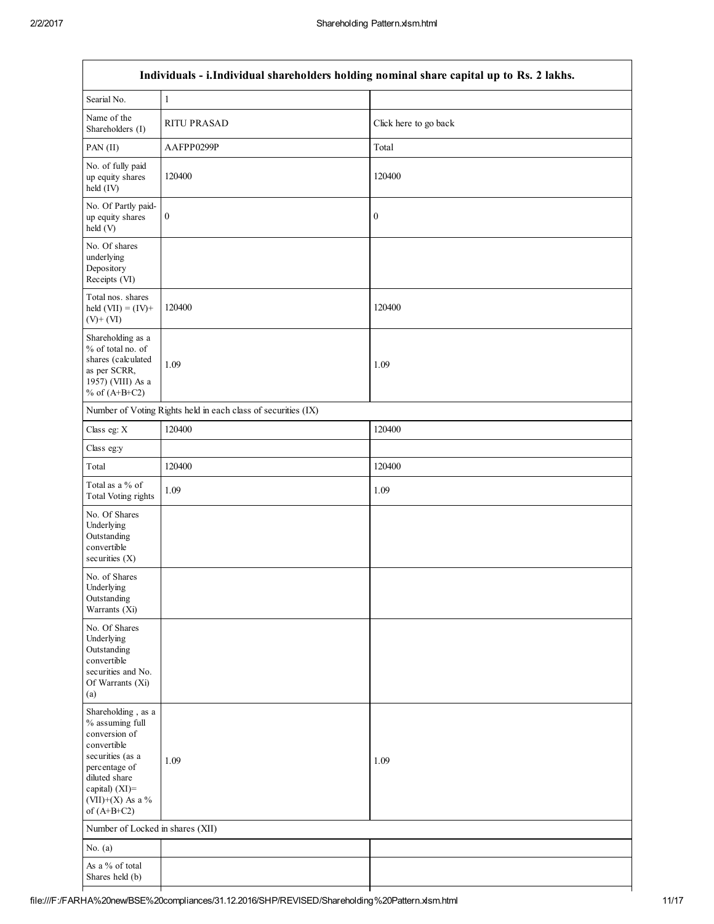| Individuals - i.Individual shareholders holding nominal share capital up to Rs. 2 lakhs.                                                                                              |                                                               |                       |  |  |  |  |
|---------------------------------------------------------------------------------------------------------------------------------------------------------------------------------------|---------------------------------------------------------------|-----------------------|--|--|--|--|
|                                                                                                                                                                                       |                                                               |                       |  |  |  |  |
| Searial No.                                                                                                                                                                           | $\mathbf{1}$                                                  |                       |  |  |  |  |
| Name of the<br>Shareholders (I)                                                                                                                                                       | <b>RITU PRASAD</b>                                            | Click here to go back |  |  |  |  |
| PAN (II)                                                                                                                                                                              | AAFPP0299P                                                    | Total                 |  |  |  |  |
| No. of fully paid<br>up equity shares<br>held (IV)                                                                                                                                    | 120400                                                        | 120400                |  |  |  |  |
| No. Of Partly paid-<br>up equity shares<br>held (V)                                                                                                                                   | $\boldsymbol{0}$                                              | $\boldsymbol{0}$      |  |  |  |  |
| No. Of shares<br>underlying<br>Depository<br>Receipts (VI)                                                                                                                            |                                                               |                       |  |  |  |  |
| Total nos. shares<br>held $(VII) = (IV) +$<br>$(V)$ + $(VI)$                                                                                                                          | 120400                                                        | 120400                |  |  |  |  |
| Shareholding as a<br>% of total no. of<br>shares (calculated<br>as per SCRR,<br>1957) (VIII) As a<br>% of $(A+B+C2)$                                                                  | 1.09                                                          | 1.09                  |  |  |  |  |
|                                                                                                                                                                                       | Number of Voting Rights held in each class of securities (IX) |                       |  |  |  |  |
| Class eg: X                                                                                                                                                                           | 120400                                                        | 120400                |  |  |  |  |
| Class eg:y                                                                                                                                                                            |                                                               |                       |  |  |  |  |
| Total                                                                                                                                                                                 | 120400                                                        | 120400                |  |  |  |  |
| Total as a % of<br><b>Total Voting rights</b>                                                                                                                                         | 1.09                                                          | 1.09                  |  |  |  |  |
| No. Of Shares<br>Underlying<br>Outstanding<br>convertible<br>securities $(X)$                                                                                                         |                                                               |                       |  |  |  |  |
| No. of Shares<br>Underlying<br>Outstanding<br>Warrants (Xi)                                                                                                                           |                                                               |                       |  |  |  |  |
| No. Of Shares<br>Underlying<br>Outstanding<br>convertible<br>securities and No.<br>Of Warrants (Xi)<br>(a)                                                                            |                                                               |                       |  |  |  |  |
| Shareholding, as a<br>% assuming full<br>conversion of<br>convertible<br>securities (as a<br>percentage of<br>diluted share<br>capital) $(XI)$ =<br>(VII)+(X) As a %<br>of $(A+B+C2)$ | 1.09                                                          | 1.09                  |  |  |  |  |
| Number of Locked in shares (XII)                                                                                                                                                      |                                                               |                       |  |  |  |  |
| No. $(a)$                                                                                                                                                                             |                                                               |                       |  |  |  |  |
| As a % of total                                                                                                                                                                       |                                                               |                       |  |  |  |  |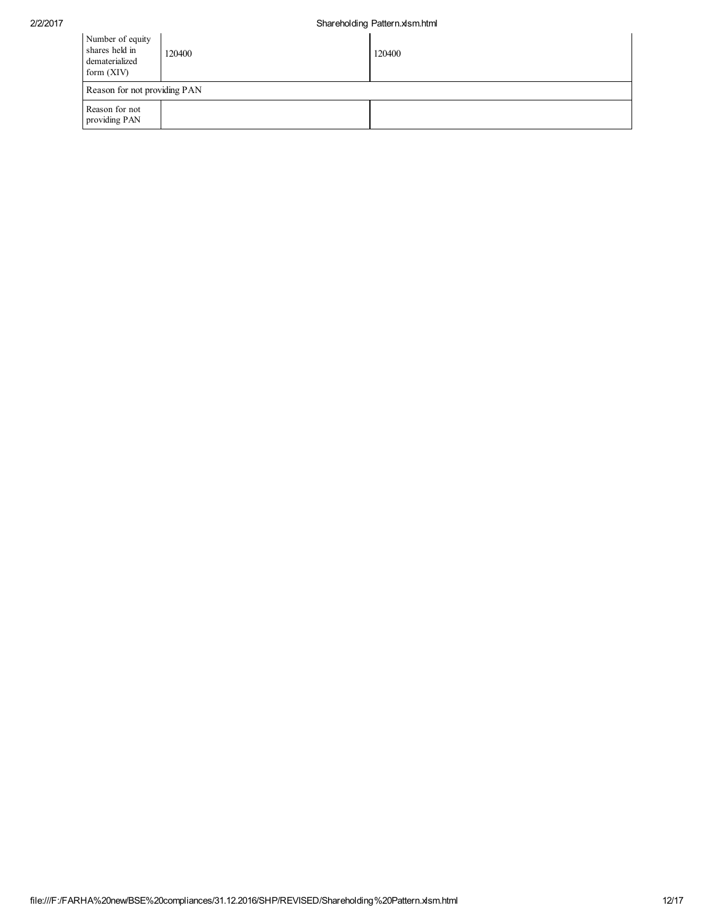| Number of equity<br>shares held in<br>dematerialized<br>form $(XIV)$ | 120400 | 120400 |  |  |  |
|----------------------------------------------------------------------|--------|--------|--|--|--|
| Reason for not providing PAN                                         |        |        |  |  |  |
| Reason for not<br>providing PAN                                      |        |        |  |  |  |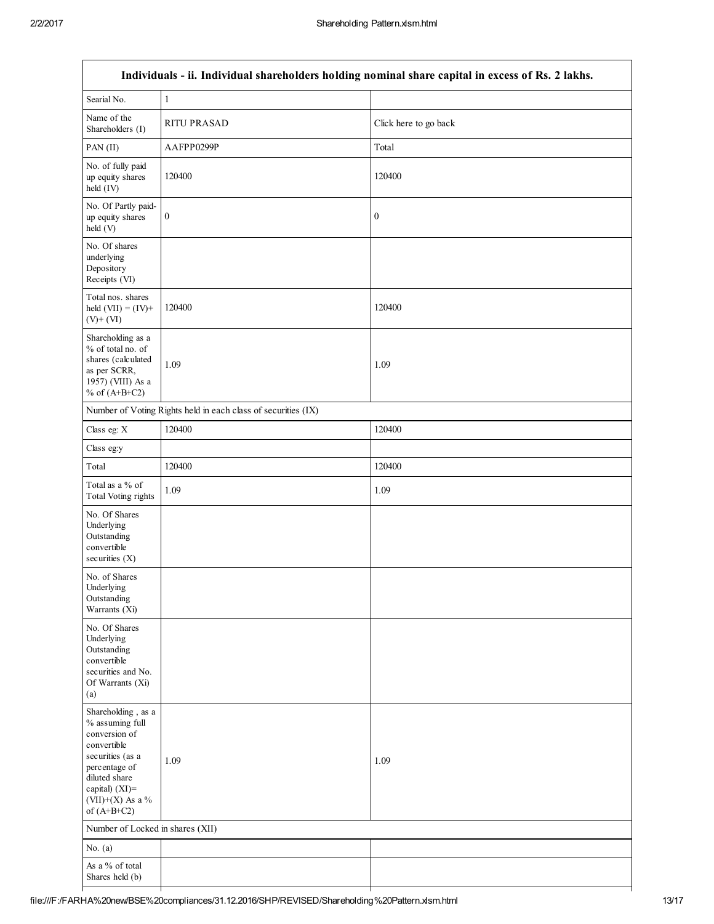| Individuals - ii. Individual shareholders holding nominal share capital in excess of Rs. 2 lakhs.                                                                                     |                                                               |                       |  |  |  |  |
|---------------------------------------------------------------------------------------------------------------------------------------------------------------------------------------|---------------------------------------------------------------|-----------------------|--|--|--|--|
| Searial No.                                                                                                                                                                           | $\mathbf{1}$                                                  |                       |  |  |  |  |
| Name of the<br>Shareholders (I)                                                                                                                                                       | <b>RITU PRASAD</b>                                            | Click here to go back |  |  |  |  |
| PAN (II)                                                                                                                                                                              | AAFPP0299P                                                    | Total                 |  |  |  |  |
| No. of fully paid<br>up equity shares<br>held (IV)                                                                                                                                    | 120400                                                        | 120400                |  |  |  |  |
| No. Of Partly paid-<br>up equity shares<br>held (V)                                                                                                                                   | $\boldsymbol{0}$                                              | $\boldsymbol{0}$      |  |  |  |  |
| No. Of shares<br>underlying<br>Depository<br>Receipts (VI)                                                                                                                            |                                                               |                       |  |  |  |  |
| Total nos. shares<br>held $(VII) = (IV) +$<br>$(V)$ + $(VI)$                                                                                                                          | 120400                                                        | 120400                |  |  |  |  |
| Shareholding as a<br>% of total no. of<br>shares (calculated<br>as per SCRR,<br>1957) (VIII) As a<br>% of $(A+B+C2)$                                                                  | 1.09                                                          | 1.09                  |  |  |  |  |
|                                                                                                                                                                                       | Number of Voting Rights held in each class of securities (IX) |                       |  |  |  |  |
| Class eg: X                                                                                                                                                                           | 120400                                                        | 120400                |  |  |  |  |
| Class eg:y                                                                                                                                                                            |                                                               |                       |  |  |  |  |
| Total                                                                                                                                                                                 | 120400                                                        | 120400                |  |  |  |  |
| Total as a % of<br>Total Voting rights                                                                                                                                                | 1.09                                                          | 1.09                  |  |  |  |  |
| No. Of Shares<br>Underlying<br>Outstanding<br>convertible<br>securities $(X)$                                                                                                         |                                                               |                       |  |  |  |  |
| No. of Shares<br>Underlying<br>Outstanding<br>Warrants (Xi)                                                                                                                           |                                                               |                       |  |  |  |  |
| No. Of Shares<br>Underlying<br>Outstanding<br>convertible<br>securities and No.<br>Of Warrants (Xi)<br>(a)                                                                            |                                                               |                       |  |  |  |  |
| Shareholding, as a<br>% assuming full<br>conversion of<br>convertible<br>securities (as a<br>percentage of<br>diluted share<br>capital) $(XI)$ =<br>(VII)+(X) As a %<br>of $(A+B+C2)$ | 1.09                                                          | 1.09                  |  |  |  |  |
| Number of Locked in shares (XII)                                                                                                                                                      |                                                               |                       |  |  |  |  |
| No. $(a)$                                                                                                                                                                             |                                                               |                       |  |  |  |  |
| As a % of total                                                                                                                                                                       |                                                               |                       |  |  |  |  |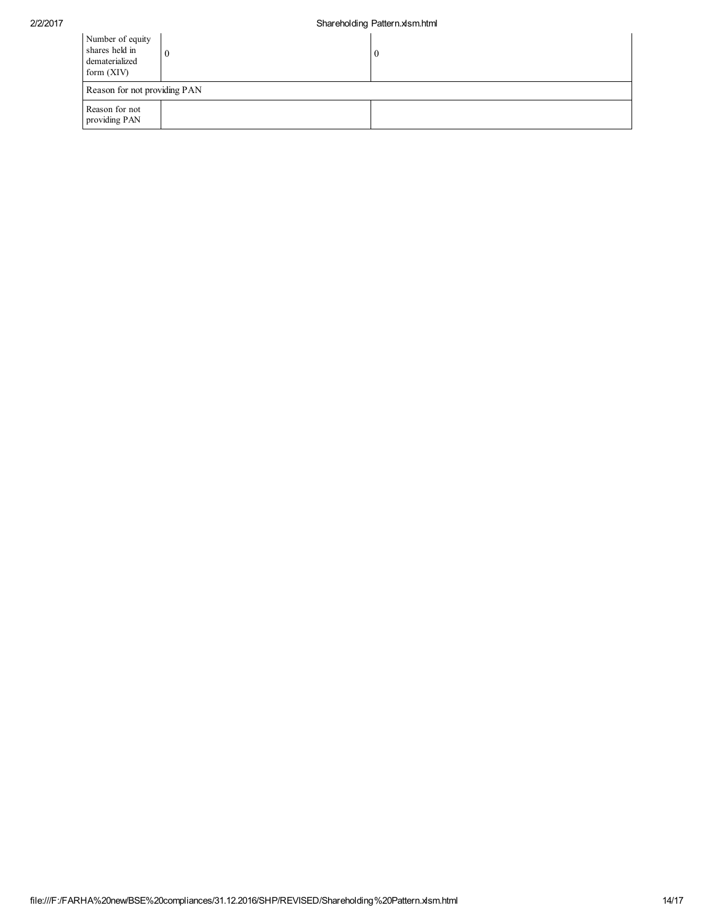| Number of equity<br>shares held in<br>dematerialized<br>form $(XIV)$ |  | U |  |  |  |
|----------------------------------------------------------------------|--|---|--|--|--|
| Reason for not providing PAN                                         |  |   |  |  |  |
| Reason for not<br>providing PAN                                      |  |   |  |  |  |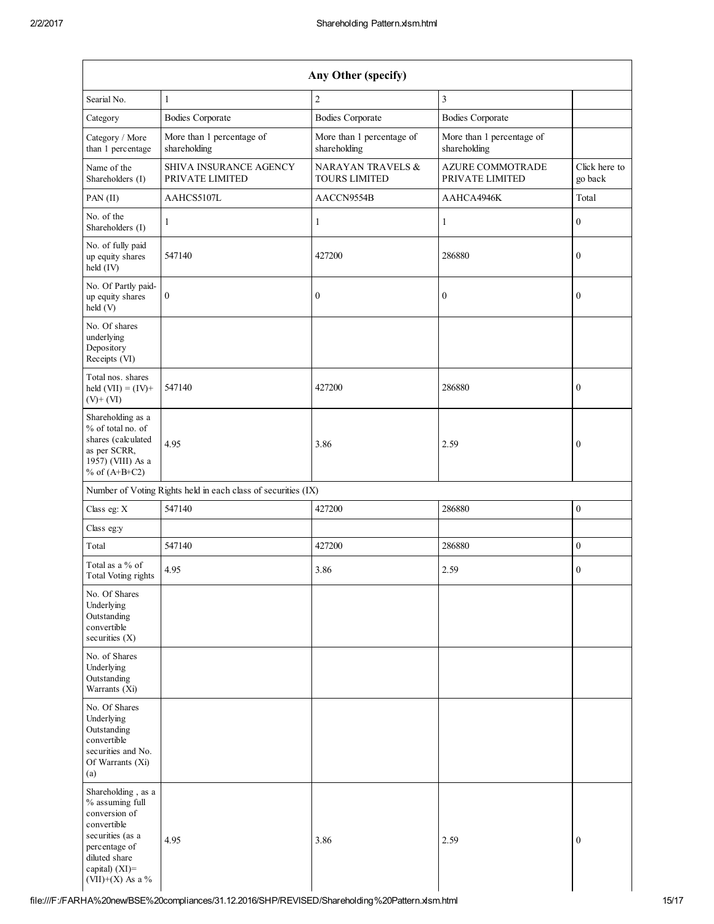| Any Other (specify)                                                                                                                              |                                                               |                                           |                                            |                          |  |  |  |  |
|--------------------------------------------------------------------------------------------------------------------------------------------------|---------------------------------------------------------------|-------------------------------------------|--------------------------------------------|--------------------------|--|--|--|--|
| Searial No.                                                                                                                                      | 1                                                             | $\overline{2}$                            | 3                                          |                          |  |  |  |  |
| Category                                                                                                                                         | <b>Bodies Corporate</b>                                       | <b>Bodies Corporate</b>                   | <b>Bodies Corporate</b>                    |                          |  |  |  |  |
| Category / More<br>than 1 percentage                                                                                                             | More than 1 percentage of<br>shareholding                     | More than 1 percentage of<br>shareholding | More than 1 percentage of<br>shareholding  |                          |  |  |  |  |
| Name of the<br>Shareholders (I)                                                                                                                  | <b>SHIVA INSURANCE AGENCY</b><br>PRIVATE LIMITED              | NARAYAN TRAVELS &<br><b>TOURS LIMITED</b> | <b>AZURE COMMOTRADE</b><br>PRIVATE LIMITED | Click here to<br>go back |  |  |  |  |
| PAN (II)                                                                                                                                         | AAHCS5107L                                                    | AACCN9554B                                | AAHCA4946K                                 | Total                    |  |  |  |  |
| No. of the<br>Shareholders (I)                                                                                                                   | 1                                                             | 1                                         | 1                                          | $\mathbf{0}$             |  |  |  |  |
| No. of fully paid<br>up equity shares<br>held (IV)                                                                                               | 547140                                                        | 427200                                    | 286880                                     | $\boldsymbol{0}$         |  |  |  |  |
| No. Of Partly paid-<br>up equity shares<br>held (V)                                                                                              | $\boldsymbol{0}$                                              | $\boldsymbol{0}$                          | $\boldsymbol{0}$                           | $\boldsymbol{0}$         |  |  |  |  |
| No. Of shares<br>underlying<br>Depository<br>Receipts (VI)                                                                                       |                                                               |                                           |                                            |                          |  |  |  |  |
| Total nos. shares<br>held $(VII) = (IV) +$<br>$(V)$ + $(VI)$                                                                                     | 547140                                                        | 427200                                    | 286880                                     | $\boldsymbol{0}$         |  |  |  |  |
| Shareholding as a<br>% of total no. of<br>shares (calculated<br>as per SCRR,<br>1957) (VIII) As a<br>% of $(A+B+C2)$                             | 4.95                                                          | 3.86                                      | 2.59                                       | $\boldsymbol{0}$         |  |  |  |  |
|                                                                                                                                                  | Number of Voting Rights held in each class of securities (IX) |                                           |                                            |                          |  |  |  |  |
| Class eg: X                                                                                                                                      | 547140                                                        | 427200                                    | 286880                                     | $\boldsymbol{0}$         |  |  |  |  |
| Class eg:y                                                                                                                                       |                                                               |                                           |                                            |                          |  |  |  |  |
| Total                                                                                                                                            | 547140                                                        | 427200                                    | 286880                                     | $\mathbf{0}$             |  |  |  |  |
| Total as a % of<br>Total Voting rights                                                                                                           | 4.95                                                          | 3.86                                      | 2.59                                       | $\theta$                 |  |  |  |  |
| No. Of Shares<br>Underlying<br>Outstanding<br>convertible<br>securities $(X)$                                                                    |                                                               |                                           |                                            |                          |  |  |  |  |
| No. of Shares<br>Underlying<br>Outstanding<br>Warrants (Xi)                                                                                      |                                                               |                                           |                                            |                          |  |  |  |  |
| No. Of Shares<br>Underlying<br>Outstanding<br>convertible<br>securities and No.<br>Of Warrants (Xi)<br>(a)                                       |                                                               |                                           |                                            |                          |  |  |  |  |
| Shareholding, as a<br>% assuming full<br>conversion of<br>convertible<br>securities (as a<br>percentage of<br>diluted share<br>capital) $(XI)$ = | 4.95                                                          | 3.86                                      | 2.59                                       | $\boldsymbol{0}$         |  |  |  |  |